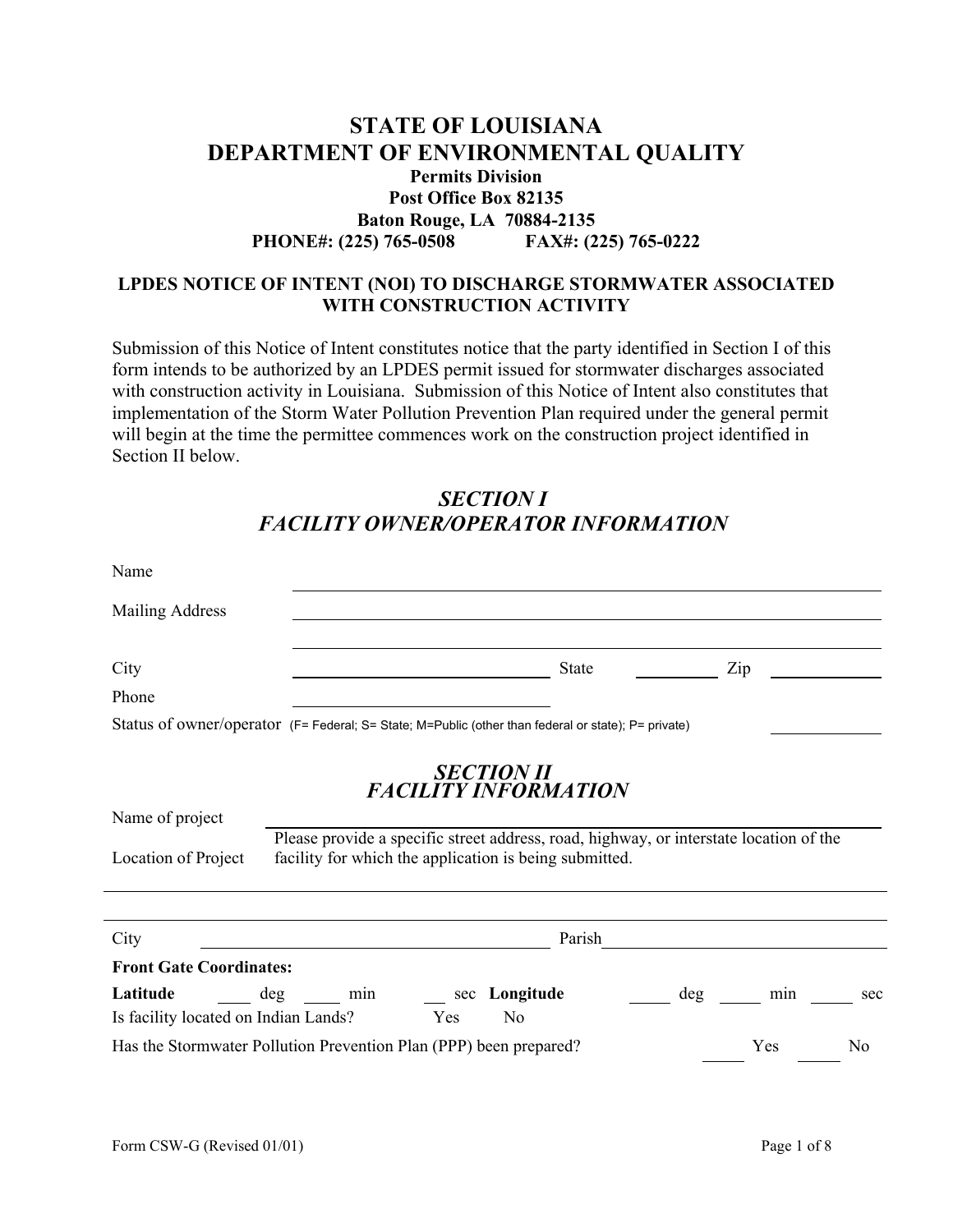## **STATE OF LOUISIANA DEPARTMENT OF ENVIRONMENTAL QUALITY Permits Division Post Office Box 82135 Baton Rouge, LA 70884-2135 PHONE#: (225) 765-0508 FAX#: (225) 765-0222**

### **LPDES NOTICE OF INTENT (NOI) TO DISCHARGE STORMWATER ASSOCIATED WITH CONSTRUCTION ACTIVITY**

Submission of this Notice of Intent constitutes notice that the party identified in Section I of this form intends to be authorized by an LPDES permit issued for stormwater discharges associated with construction activity in Louisiana. Submission of this Notice of Intent also constitutes that implementation of the Storm Water Pollution Prevention Plan required under the general permit will begin at the time the permittee commences work on the construction project identified in Section II below.

# *SECTION I FACILITY OWNER/OPERATOR INFORMATION*

| Name                                                                                                |            |                                                                                                                                                                                                      |     |     |                |  |
|-----------------------------------------------------------------------------------------------------|------------|------------------------------------------------------------------------------------------------------------------------------------------------------------------------------------------------------|-----|-----|----------------|--|
| <b>Mailing Address</b>                                                                              |            |                                                                                                                                                                                                      |     |     |                |  |
| City                                                                                                |            | <b>State</b>                                                                                                                                                                                         |     | Zip |                |  |
| Phone                                                                                               |            |                                                                                                                                                                                                      |     |     |                |  |
| Status of owner/operator (F= Federal; S= State; M=Public (other than federal or state); P= private) |            |                                                                                                                                                                                                      |     |     |                |  |
| Name of project<br>Location of Project                                                              |            | <b>SECTION II</b><br><b>FACILITY INFORMATION</b><br>Please provide a specific street address, road, highway, or interstate location of the<br>facility for which the application is being submitted. |     |     |                |  |
|                                                                                                     |            |                                                                                                                                                                                                      |     |     |                |  |
| City                                                                                                | Parish     |                                                                                                                                                                                                      |     |     |                |  |
| <b>Front Gate Coordinates:</b>                                                                      |            |                                                                                                                                                                                                      |     |     |                |  |
| Latitude                                                                                            | deg<br>min | Longitude<br>sec                                                                                                                                                                                     | deg | min | sec            |  |
| Is facility located on Indian Lands?                                                                |            | Yes<br>N <sub>0</sub>                                                                                                                                                                                |     |     |                |  |
|                                                                                                     |            | Has the Stormwater Pollution Prevention Plan (PPP) been prepared?                                                                                                                                    |     | Yes | N <sub>0</sub> |  |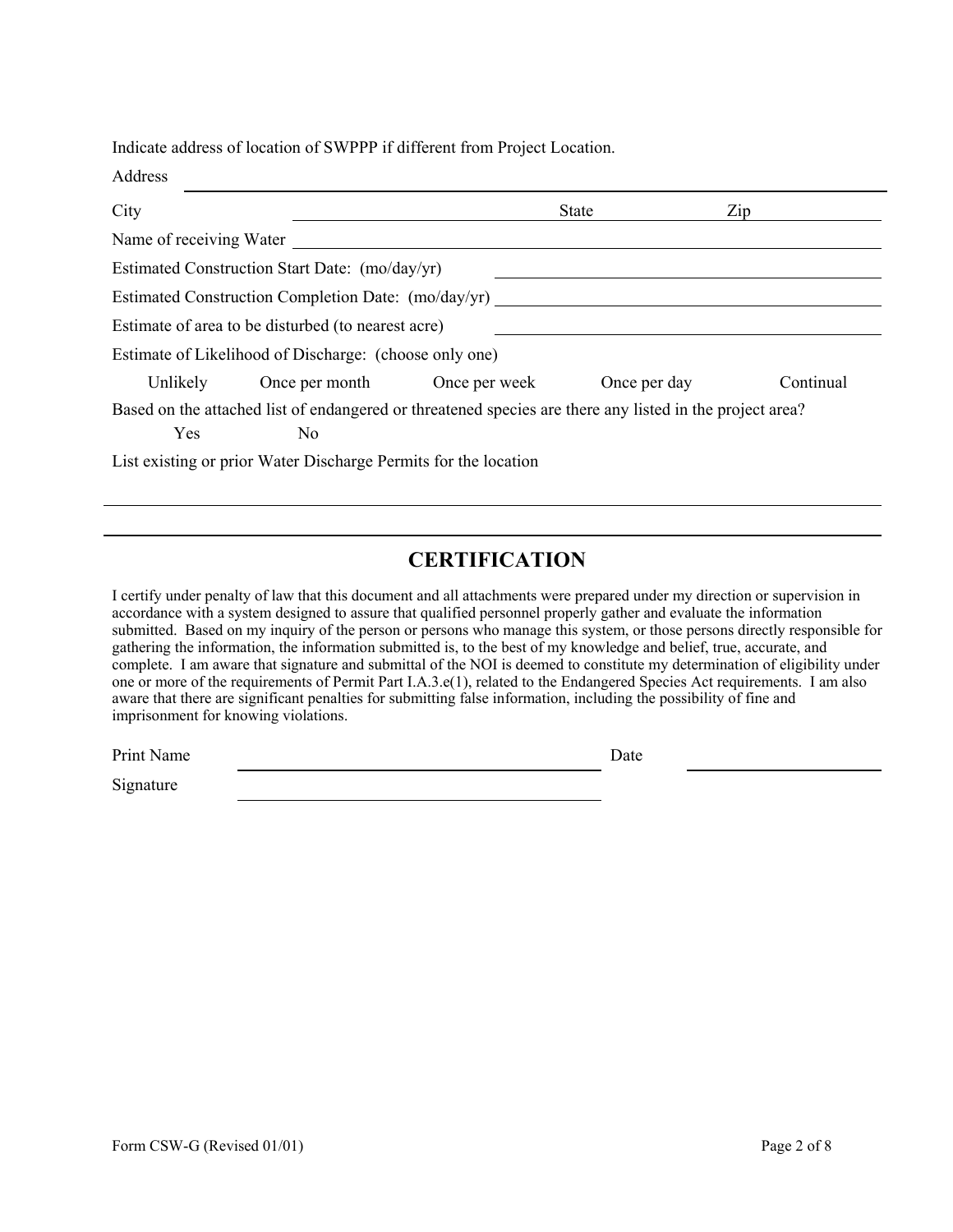Indicate address of location of SWPPP if different from Project Location.

| Address                 |                                                                                                                            |                              |              |           |
|-------------------------|----------------------------------------------------------------------------------------------------------------------------|------------------------------|--------------|-----------|
| City                    |                                                                                                                            |                              | <b>State</b> | Zip       |
| Name of receiving Water |                                                                                                                            |                              |              |           |
|                         | Estimated Construction Start Date: (mo/day/yr)                                                                             |                              |              |           |
|                         | Estimated Construction Completion Date: (mo/day/yr)                                                                        |                              |              |           |
|                         | Estimate of area to be disturbed (to nearest acre)                                                                         |                              |              |           |
|                         | Estimate of Likelihood of Discharge: (choose only one)                                                                     |                              |              |           |
| Unlikely                |                                                                                                                            | Once per month Once per week | Once per day | Continual |
| <b>Yes</b>              | Based on the attached list of endangered or threatened species are there any listed in the project area?<br>N <sub>0</sub> |                              |              |           |
|                         | List existing or prior Water Discharge Permits for the location                                                            |                              |              |           |

# **CERTIFICATION**

I certify under penalty of law that this document and all attachments were prepared under my direction or supervision in accordance with a system designed to assure that qualified personnel properly gather and evaluate the information submitted. Based on my inquiry of the person or persons who manage this system, or those persons directly responsible for gathering the information, the information submitted is, to the best of my knowledge and belief, true, accurate, and complete. I am aware that signature and submittal of the NOI is deemed to constitute my determination of eligibility under one or more of the requirements of Permit Part I.A.3.e(1), related to the Endangered Species Act requirements. I am also aware that there are significant penalties for submitting false information, including the possibility of fine and imprisonment for knowing violations.

Print Name Date Date Date

Signature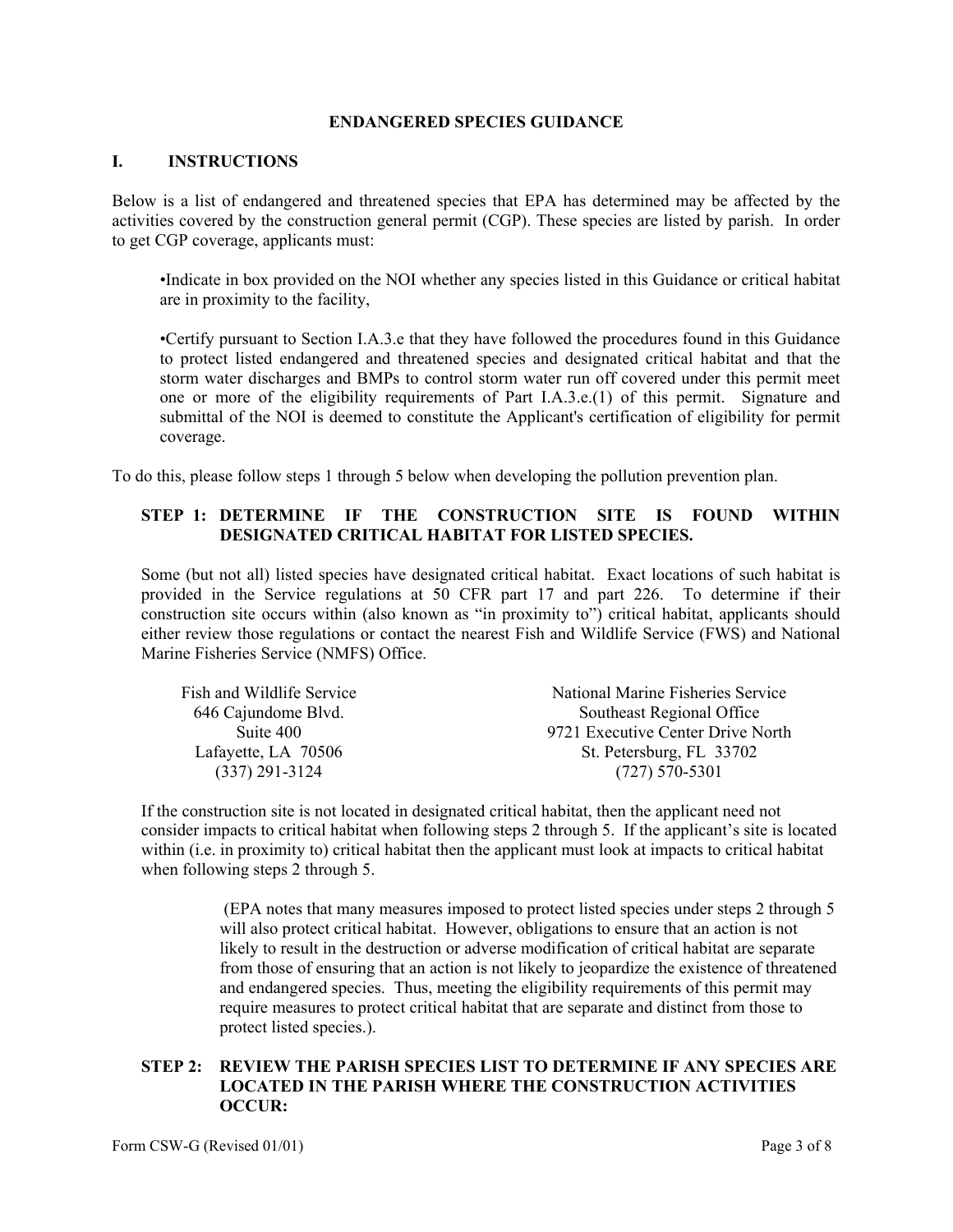#### **ENDANGERED SPECIES GUIDANCE**

#### **I. INSTRUCTIONS**

Below is a list of endangered and threatened species that EPA has determined may be affected by the activities covered by the construction general permit (CGP). These species are listed by parish. In order to get CGP coverage, applicants must:

•Indicate in box provided on the NOI whether any species listed in this Guidance or critical habitat are in proximity to the facility,

•Certify pursuant to Section I.A.3.e that they have followed the procedures found in this Guidance to protect listed endangered and threatened species and designated critical habitat and that the storm water discharges and BMPs to control storm water run off covered under this permit meet one or more of the eligibility requirements of Part I.A.3.e.(1) of this permit. Signature and submittal of the NOI is deemed to constitute the Applicant's certification of eligibility for permit coverage.

To do this, please follow steps 1 through 5 below when developing the pollution prevention plan.

### **STEP 1: DETERMINE IF THE CONSTRUCTION SITE IS FOUND WITHIN DESIGNATED CRITICAL HABITAT FOR LISTED SPECIES.**

Some (but not all) listed species have designated critical habitat. Exact locations of such habitat is provided in the Service regulations at 50 CFR part 17 and part 226. To determine if their construction site occurs within (also known as "in proximity to") critical habitat, applicants should either review those regulations or contact the nearest Fish and Wildlife Service (FWS) and National Marine Fisheries Service (NMFS) Office.

| Fish and Wildlife Service | National Marine Fisheries Service |  |  |
|---------------------------|-----------------------------------|--|--|
| 646 Cajundome Blvd.       | Southeast Regional Office         |  |  |
| Suite 400                 | 9721 Executive Center Drive North |  |  |
| Lafayette, LA 70506       | St. Petersburg, FL 33702          |  |  |
| $(337)$ 291-3124          | $(727)$ 570-5301                  |  |  |

If the construction site is not located in designated critical habitat, then the applicant need not consider impacts to critical habitat when following steps 2 through 5. If the applicant's site is located within (i.e. in proximity to) critical habitat then the applicant must look at impacts to critical habitat when following steps 2 through 5.

> (EPA notes that many measures imposed to protect listed species under steps 2 through 5 will also protect critical habitat. However, obligations to ensure that an action is not likely to result in the destruction or adverse modification of critical habitat are separate from those of ensuring that an action is not likely to jeopardize the existence of threatened and endangered species. Thus, meeting the eligibility requirements of this permit may require measures to protect critical habitat that are separate and distinct from those to protect listed species.).

#### **STEP 2: REVIEW THE PARISH SPECIES LIST TO DETERMINE IF ANY SPECIES ARE LOCATED IN THE PARISH WHERE THE CONSTRUCTION ACTIVITIES OCCUR:**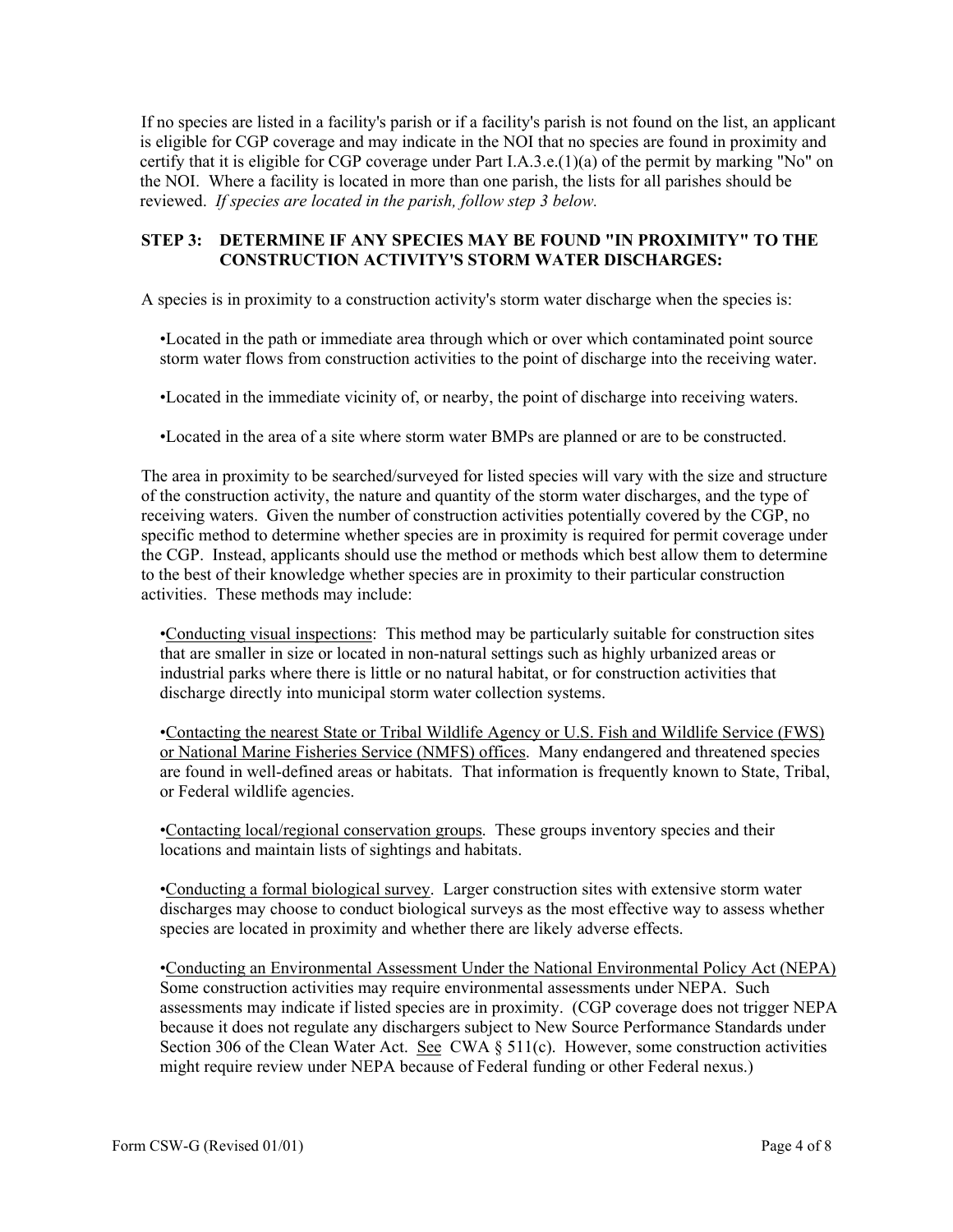If no species are listed in a facility's parish or if a facility's parish is not found on the list, an applicant is eligible for CGP coverage and may indicate in the NOI that no species are found in proximity and certify that it is eligible for CGP coverage under Part I.A.3.e. $(1)(a)$  of the permit by marking "No" on the NOI. Where a facility is located in more than one parish, the lists for all parishes should be reviewed. *If species are located in the parish, follow step 3 below.*

#### **STEP 3: DETERMINE IF ANY SPECIES MAY BE FOUND "IN PROXIMITY" TO THE CONSTRUCTION ACTIVITY'S STORM WATER DISCHARGES:**

A species is in proximity to a construction activity's storm water discharge when the species is:

•Located in the path or immediate area through which or over which contaminated point source storm water flows from construction activities to the point of discharge into the receiving water.

•Located in the immediate vicinity of, or nearby, the point of discharge into receiving waters.

•Located in the area of a site where storm water BMPs are planned or are to be constructed.

The area in proximity to be searched/surveyed for listed species will vary with the size and structure of the construction activity, the nature and quantity of the storm water discharges, and the type of receiving waters. Given the number of construction activities potentially covered by the CGP, no specific method to determine whether species are in proximity is required for permit coverage under the CGP. Instead, applicants should use the method or methods which best allow them to determine to the best of their knowledge whether species are in proximity to their particular construction activities. These methods may include:

•Conducting visual inspections: This method may be particularly suitable for construction sites that are smaller in size or located in non-natural settings such as highly urbanized areas or industrial parks where there is little or no natural habitat, or for construction activities that discharge directly into municipal storm water collection systems.

•Contacting the nearest State or Tribal Wildlife Agency or U.S. Fish and Wildlife Service (FWS) or National Marine Fisheries Service (NMFS) offices. Many endangered and threatened species are found in well-defined areas or habitats. That information is frequently known to State, Tribal, or Federal wildlife agencies.

•Contacting local/regional conservation groups. These groups inventory species and their locations and maintain lists of sightings and habitats.

•Conducting a formal biological survey. Larger construction sites with extensive storm water discharges may choose to conduct biological surveys as the most effective way to assess whether species are located in proximity and whether there are likely adverse effects.

•Conducting an Environmental Assessment Under the National Environmental Policy Act (NEPA) Some construction activities may require environmental assessments under NEPA. Such assessments may indicate if listed species are in proximity. (CGP coverage does not trigger NEPA because it does not regulate any dischargers subject to New Source Performance Standards under Section 306 of the Clean Water Act. See CWA  $\S 511(c)$ . However, some construction activities might require review under NEPA because of Federal funding or other Federal nexus.)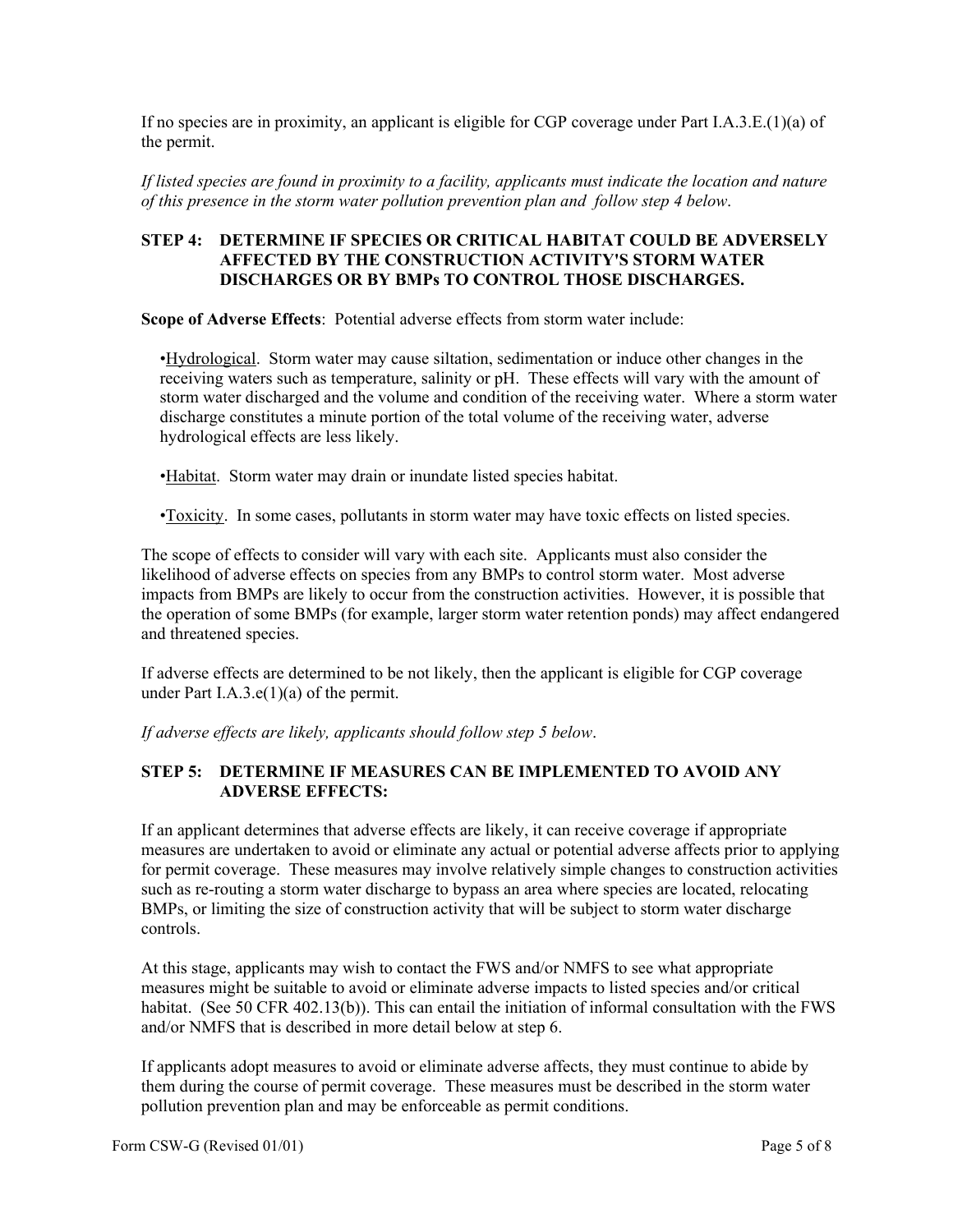If no species are in proximity, an applicant is eligible for CGP coverage under Part I.A.3.E.(1)(a) of the permit.

*If listed species are found in proximity to a facility, applicants must indicate the location and nature of this presence in the storm water pollution prevention plan and follow step 4 below*.

#### **STEP 4: DETERMINE IF SPECIES OR CRITICAL HABITAT COULD BE ADVERSELY AFFECTED BY THE CONSTRUCTION ACTIVITY'S STORM WATER DISCHARGES OR BY BMPs TO CONTROL THOSE DISCHARGES.**

**Scope of Adverse Effects**: Potential adverse effects from storm water include:

•Hydrological. Storm water may cause siltation, sedimentation or induce other changes in the receiving waters such as temperature, salinity or pH. These effects will vary with the amount of storm water discharged and the volume and condition of the receiving water. Where a storm water discharge constitutes a minute portion of the total volume of the receiving water, adverse hydrological effects are less likely.

•Habitat. Storm water may drain or inundate listed species habitat.

•Toxicity. In some cases, pollutants in storm water may have toxic effects on listed species.

The scope of effects to consider will vary with each site. Applicants must also consider the likelihood of adverse effects on species from any BMPs to control storm water. Most adverse impacts from BMPs are likely to occur from the construction activities. However, it is possible that the operation of some BMPs (for example, larger storm water retention ponds) may affect endangered and threatened species.

If adverse effects are determined to be not likely, then the applicant is eligible for CGP coverage under Part I.A.3.e(1)(a) of the permit.

*If adverse effects are likely, applicants should follow step 5 below*.

#### **STEP 5: DETERMINE IF MEASURES CAN BE IMPLEMENTED TO AVOID ANY ADVERSE EFFECTS:**

If an applicant determines that adverse effects are likely, it can receive coverage if appropriate measures are undertaken to avoid or eliminate any actual or potential adverse affects prior to applying for permit coverage. These measures may involve relatively simple changes to construction activities such as re-routing a storm water discharge to bypass an area where species are located, relocating BMPs, or limiting the size of construction activity that will be subject to storm water discharge controls.

At this stage, applicants may wish to contact the FWS and/or NMFS to see what appropriate measures might be suitable to avoid or eliminate adverse impacts to listed species and/or critical habitat. (See 50 CFR 402.13(b)). This can entail the initiation of informal consultation with the FWS and/or NMFS that is described in more detail below at step 6.

If applicants adopt measures to avoid or eliminate adverse affects, they must continue to abide by them during the course of permit coverage. These measures must be described in the storm water pollution prevention plan and may be enforceable as permit conditions.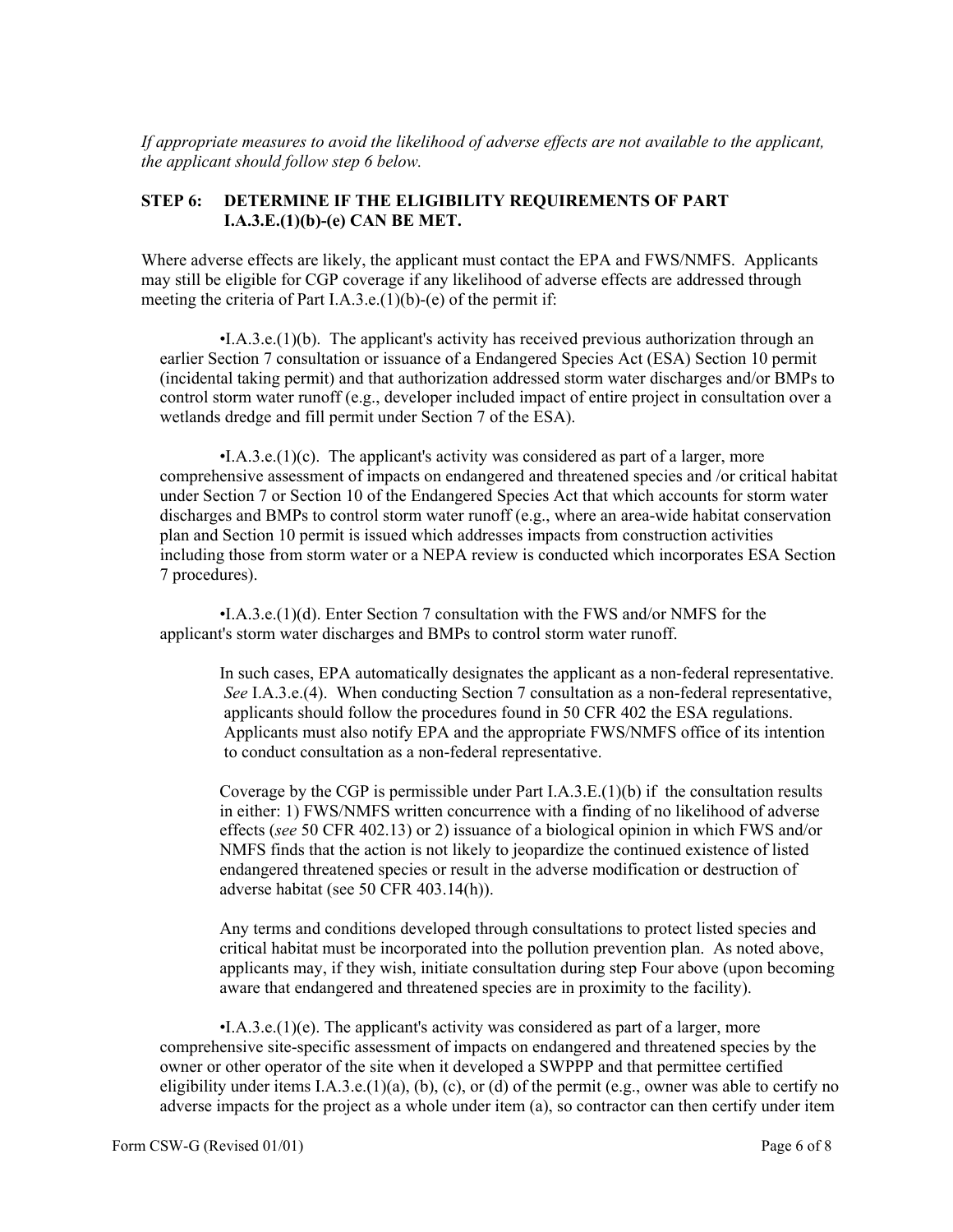*If appropriate measures to avoid the likelihood of adverse effects are not available to the applicant, the applicant should follow step 6 below.*

#### **STEP 6: DETERMINE IF THE ELIGIBILITY REQUIREMENTS OF PART I.A.3.E.(1)(b)-(e) CAN BE MET.**

Where adverse effects are likely, the applicant must contact the EPA and FWS/NMFS. Applicants may still be eligible for CGP coverage if any likelihood of adverse effects are addressed through meeting the criteria of Part I.A.3.e.(1)(b)-(e) of the permit if:

 •I.A.3.e.(1)(b). The applicant's activity has received previous authorization through an earlier Section 7 consultation or issuance of a Endangered Species Act (ESA) Section 10 permit (incidental taking permit) and that authorization addressed storm water discharges and/or BMPs to control storm water runoff (e.g., developer included impact of entire project in consultation over a wetlands dredge and fill permit under Section 7 of the ESA).

 •I.A.3.e.(1)(c). The applicant's activity was considered as part of a larger, more comprehensive assessment of impacts on endangered and threatened species and /or critical habitat under Section 7 or Section 10 of the Endangered Species Act that which accounts for storm water discharges and BMPs to control storm water runoff (e.g., where an area-wide habitat conservation plan and Section 10 permit is issued which addresses impacts from construction activities including those from storm water or a NEPA review is conducted which incorporates ESA Section 7 procedures).

 •I.A.3.e.(1)(d). Enter Section 7 consultation with the FWS and/or NMFS for the applicant's storm water discharges and BMPs to control storm water runoff.

In such cases, EPA automatically designates the applicant as a non-federal representative. *See* I.A.3.e.(4). When conducting Section 7 consultation as a non-federal representative, applicants should follow the procedures found in 50 CFR 402 the ESA regulations. Applicants must also notify EPA and the appropriate FWS/NMFS office of its intention to conduct consultation as a non-federal representative.

Coverage by the CGP is permissible under Part I.A.3.E.(1)(b) if the consultation results in either: 1) FWS/NMFS written concurrence with a finding of no likelihood of adverse effects (*see* 50 CFR 402.13) or 2) issuance of a biological opinion in which FWS and/or NMFS finds that the action is not likely to jeopardize the continued existence of listed endangered threatened species or result in the adverse modification or destruction of adverse habitat (see 50 CFR 403.14(h)).

Any terms and conditions developed through consultations to protect listed species and critical habitat must be incorporated into the pollution prevention plan. As noted above, applicants may, if they wish, initiate consultation during step Four above (upon becoming aware that endangered and threatened species are in proximity to the facility).

 •I.A.3.e.(1)(e). The applicant's activity was considered as part of a larger, more comprehensive site-specific assessment of impacts on endangered and threatened species by the owner or other operator of the site when it developed a SWPPP and that permittee certified eligibility under items I.A.3.e.(1)(a), (b), (c), or (d) of the permit (e.g., owner was able to certify no adverse impacts for the project as a whole under item (a), so contractor can then certify under item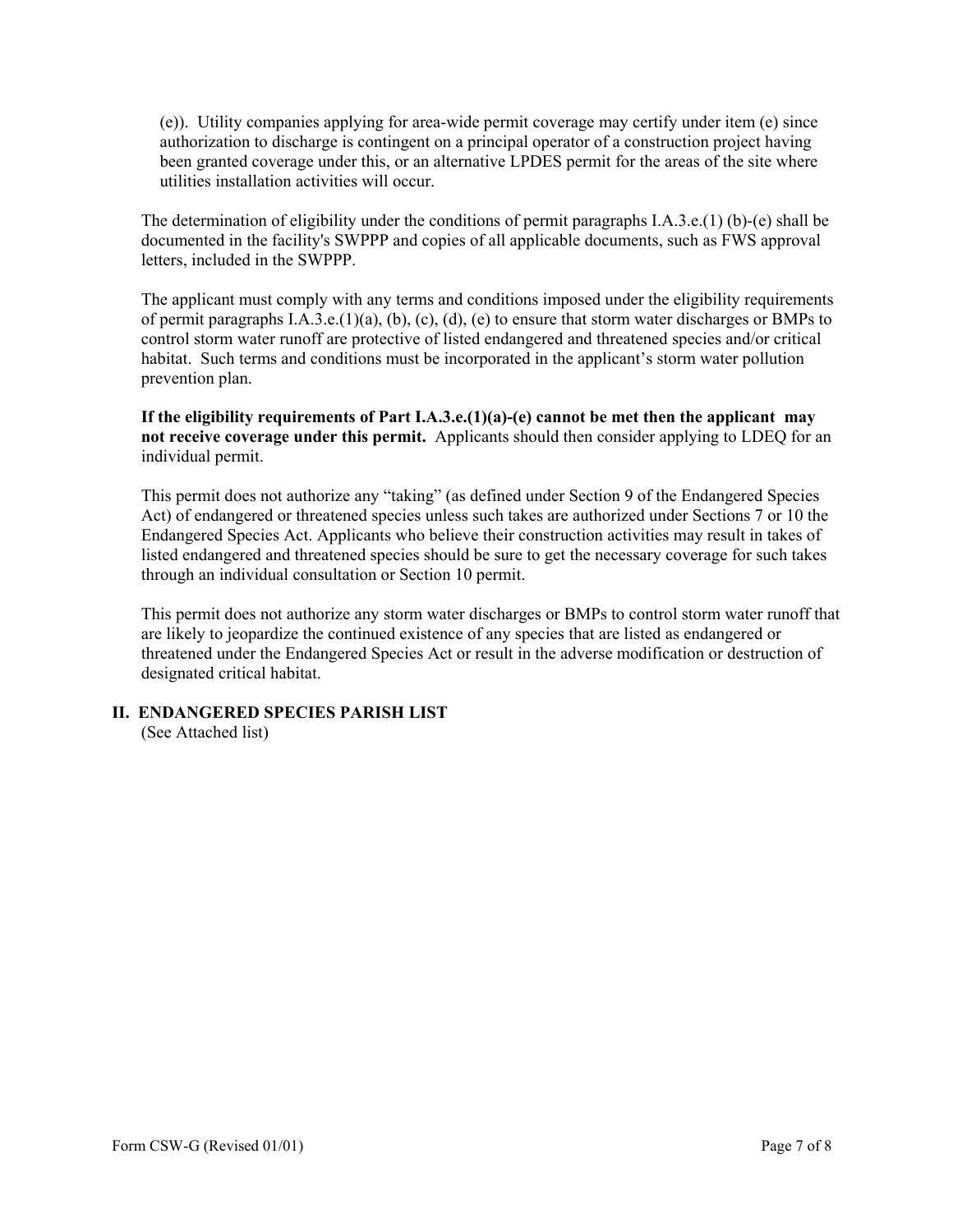(e)). Utility companies applying for area-wide permit coverage may certify under item (e) since authorization to discharge is contingent on a principal operator of a construction project having been granted coverage under this, or an alternative LPDES permit for the areas of the site where utilities installation activities will occur.

The determination of eligibility under the conditions of permit paragraphs I.A.3.e.(1) (b)-(e) shall be documented in the facility's SWPPP and copies of all applicable documents, such as FWS approval letters, included in the SWPPP.

The applicant must comply with any terms and conditions imposed under the eligibility requirements of permit paragraphs I.A.3.e.(1)(a), (b), (c), (d), (e) to ensure that storm water discharges or BMPs to control storm water runoff are protective of listed endangered and threatened species and/or critical habitat. Such terms and conditions must be incorporated in the applicant's storm water pollution prevention plan.

**If the eligibility requirements of Part I.A.3.e.(1)(a)-(e) cannot be met then the applicant may not receive coverage under this permit.** Applicants should then consider applying to LDEQ for an individual permit.

This permit does not authorize any "taking" (as defined under Section 9 of the Endangered Species Act) of endangered or threatened species unless such takes are authorized under Sections 7 or 10 the Endangered Species Act. Applicants who believe their construction activities may result in takes of listed endangered and threatened species should be sure to get the necessary coverage for such takes through an individual consultation or Section 10 permit.

This permit does not authorize any storm water discharges or BMPs to control storm water runoff that are likely to jeopardize the continued existence of any species that are listed as endangered or threatened under the Endangered Species Act or result in the adverse modification or destruction of designated critical habitat.

### **II. ENDANGERED SPECIES PARISH LIST**

(See Attached list)